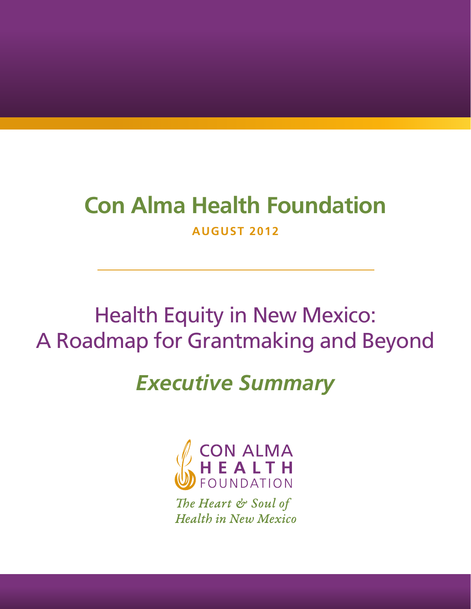## **Con Alma Health Foundation AUGUST 2012**

# Health Equity in New Mexico: A Roadmap for Grantmaking and Beyond

# *Executive Summary*



The Heart & Soul of **Health in New Mexico**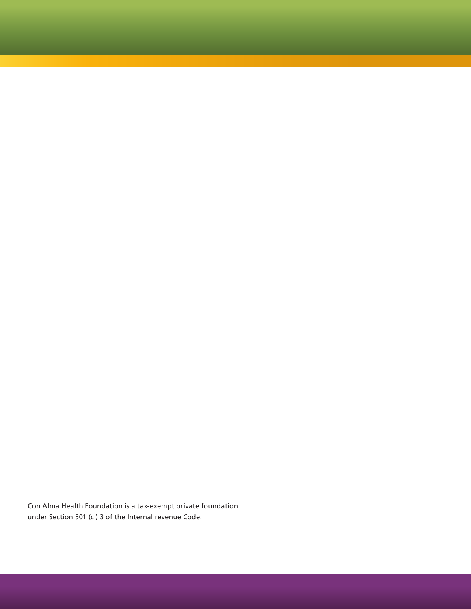Con Alma Health Foundation is a tax-exempt private foundation under Section 501 (c ) 3 of the Internal revenue Code.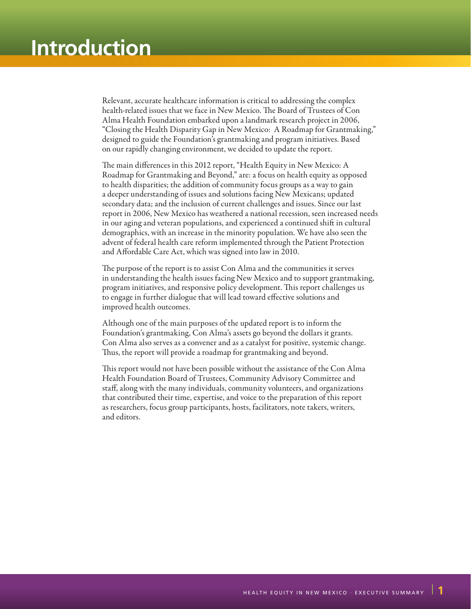Relevant, accurate healthcare information is critical to addressing the complex health-related issues that we face in New Mexico. The Board of Trustees of Con Alma Health Foundation embarked upon a landmark research project in 2006, "Closing the Health Disparity Gap in New Mexico: A Roadmap for Grantmaking," designed to guide the Foundation's grantmaking and program initiatives. Based on our rapidly changing environment, we decided to update the report.

The main differences in this 2012 report, "Health Equity in New Mexico: A Roadmap for Grantmaking and Beyond," are: a focus on health equity as opposed to health disparities; the addition of community focus groups as a way to gain a deeper understanding of issues and solutions facing New Mexicans; updated secondary data; and the inclusion of current challenges and issues. Since our last report in 2006, New Mexico has weathered a national recession, seen increased needs in our aging and veteran populations, and experienced a continued shift in cultural demographics, with an increase in the minority population. We have also seen the advent of federal health care reform implemented through the Patient Protection and Affordable Care Act, which was signed into law in 2010.

The purpose of the report is to assist Con Alma and the communities it serves in understanding the health issues facing New Mexico and to support grantmaking, program initiatives, and responsive policy development. This report challenges us to engage in further dialogue that will lead toward effective solutions and improved health outcomes.

Although one of the main purposes of the updated report is to inform the Foundation's grantmaking, Con Alma's assets go beyond the dollars it grants. Con Alma also serves as a convener and as a catalyst for positive, systemic change. Thus, the report will provide a roadmap for grantmaking and beyond.

This report would not have been possible without the assistance of the Con Alma Health Foundation Board of Trustees, Community Advisory Committee and staff, along with the many individuals, community volunteers, and organizations that contributed their time, expertise, and voice to the preparation of this report as researchers, focus group participants, hosts, facilitators, note takers, writers, and editors.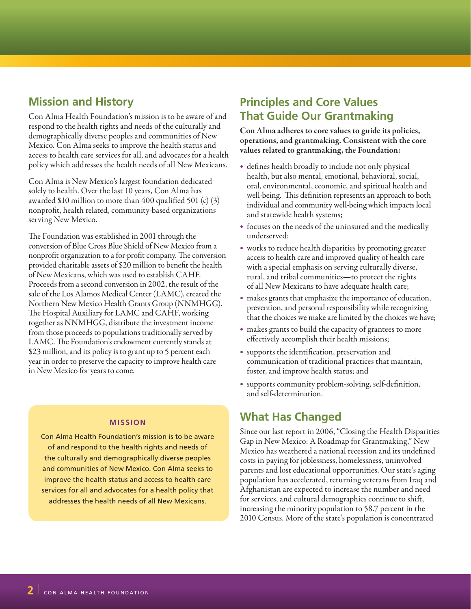### **Mission and History**

Con Alma Health Foundation's mission is to be aware of and respond to the health rights and needs of the culturally and demographically diverse peoples and communities of New Mexico. Con Alma seeks to improve the health status and access to health care services for all, and advocates for a health policy which addresses the health needs of all New Mexicans.

Con Alma is New Mexico's largest foundation dedicated solely to health. Over the last 10 years, Con Alma has awarded \$10 million to more than 400 qualified 501 (c) (3) nonprofit, health related, community-based organizations serving New Mexico.

The Foundation was established in 2001 through the conversion of Blue Cross Blue Shield of New Mexico from a nonprofit organization to a for-profit company. The conversion provided charitable assets of \$20 million to benefit the health of New Mexicans, which was used to establish CAHF. Proceeds from a second conversion in 2002, the result of the sale of the Los Alamos Medical Center (LAMC), created the Northern New Mexico Health Grants Group (NNMHGG). The Hospital Auxiliary for LAMC and CAHF, working together as NNMHGG, distribute the investment income from those proceeds to populations traditionally served by LAMC. The Foundation's endowment currently stands at \$23 million, and its policy is to grant up to 5 percent each year in order to preserve the capacity to improve health care in New Mexico for years to come.

#### **MISSION**

Con Alma Health Foundation's mission is to be aware of and respond to the health rights and needs of the culturally and demographically diverse peoples and communities of New Mexico. Con Alma seeks to improve the health status and access to health care services for all and advocates for a health policy that addresses the health needs of all New Mexicans.

### **Principles and Core Values That Guide Our Grantmaking**

Con Alma adheres to core values to guide its policies, operations, and grantmaking. Consistent with the core values related to grantmaking, the Foundation:

- defines health broadly to include not only physical health, but also mental, emotional, behavioral, social, oral, environmental, economic, and spiritual health and well-being. This definition represents an approach to both individual and community well-being which impacts local and statewide health systems;
- focuses on the needs of the uninsured and the medically underserved;
- works to reduce health disparities by promoting greater access to health care and improved quality of health care with a special emphasis on serving culturally diverse, rural, and tribal communities—to protect the rights of all New Mexicans to have adequate health care;
- makes grants that emphasize the importance of education, prevention, and personal responsibility while recognizing that the choices we make are limited by the choices we have;
- makes grants to build the capacity of grantees to more effectively accomplish their health missions;
- supports the identification, preservation and communication of traditional practices that maintain, foster, and improve health status; and
- • supports community problem-solving, self-definition, and self-determination.

### **What Has Changed**

Since our last report in 2006, "Closing the Health Disparities Gap in New Mexico: A Roadmap for Grantmaking," New Mexico has weathered a national recession and its undefined costs in paying for joblessness, homelessness, uninvolved parents and lost educational opportunities. Our state's aging population has accelerated, returning veterans from Iraq and Afghanistan are expected to increase the number and need for services, and cultural demographics continue to shift, increasing the minority population to 58.7 percent in the 2010 Census. More of the state's population is concentrated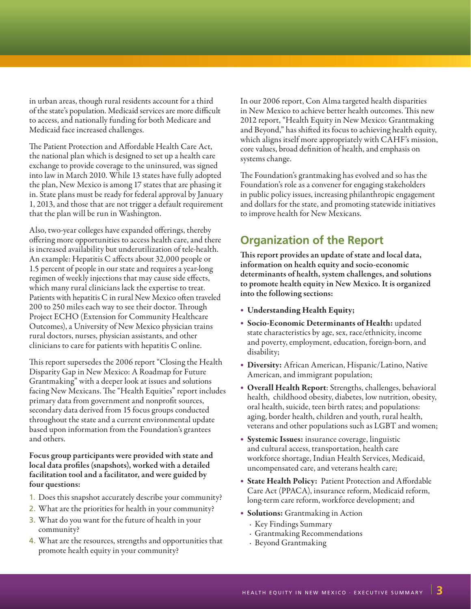in urban areas, though rural residents account for a third of the state's population. Medicaid services are more difficult to access, and nationally funding for both Medicare and Medicaid face increased challenges.

The Patient Protection and Affordable Health Care Act, the national plan which is designed to set up a health care exchange to provide coverage to the uninsured, was signed into law in March 2010. While 13 states have fully adopted the plan, New Mexico is among 17 states that are phasing it in. State plans must be ready for federal approval by January 1, 2013, and those that are not trigger a default requirement that the plan will be run in Washington.

Also, two-year colleges have expanded offerings, thereby offering more opportunities to access health care, and there is increased availability but underutilization of tele-health. An example: Hepatitis C affects about 32,000 people or 1.5 percent of people in our state and requires a year-long regimen of weekly injections that may cause side effects, which many rural clinicians lack the expertise to treat. Patients with hepatitis C in rural New Mexico often traveled 200 to 250 miles each way to see their doctor. Through Project ECHO (Extension for Community Healthcare Outcomes), a University of New Mexico physician trains rural doctors, nurses, physician assistants, and other clinicians to care for patients with hepatitis C online.

This report supersedes the 2006 report "Closing the Health Disparity Gap in New Mexico: A Roadmap for Future Grantmaking" with a deeper look at issues and solutions facing New Mexicans. The "Health Equities" report includes primary data from government and nonprofit sources, secondary data derived from 15 focus groups conducted throughout the state and a current environmental update based upon information from the Foundation's grantees and others.

Focus group participants were provided with state and local data profiles (snapshots), worked with a detailed facilitation tool and a facilitator, and were guided by four questions:

- 1. Does this snapshot accurately describe your community?
- 2. What are the priorities for health in your community?
- 3. What do you want for the future of health in your community?
- 4. What are the resources, strengths and opportunities that promote health equity in your community?

In our 2006 report, Con Alma targeted health disparities in New Mexico to achieve better health outcomes. This new 2012 report, "Health Equity in New Mexico: Grantmaking and Beyond," has shifted its focus to achieving health equity, which aligns itself more appropriately with CAHF's mission, core values, broad definition of health, and emphasis on systems change.

The Foundation's grantmaking has evolved and so has the Foundation's role as a convener for engaging stakeholders in public policy issues, increasing philanthropic engagement and dollars for the state, and promoting statewide initiatives to improve health for New Mexicans.

### **Organization of the Report**

This report provides an update of state and local data, information on health equity and socio-economic determinants of health, system challenges, and solutions to promote health equity in New Mexico. It is organized into the following sections:

- • Understanding Health Equity;
- • Socio-Economic Determinants of Health: updated state characteristics by age, sex, race/ethnicity, income and poverty, employment, education, foreign-born, and disability;
- Diversity: African American, Hispanic/Latino, Native American, and immigrant population;
- Overall Health Report: Strengths, challenges, behavioral health, childhood obesity, diabetes, low nutrition, obesity, oral health, suicide, teen birth rates; and populations: aging, border health, children and youth, rural health, veterans and other populations such as LGBT and women;
- • Systemic Issues: insurance coverage, linguistic and cultural access, transportation, health care workforce shortage, Indian Health Services, Medicaid, uncompensated care, and veterans health care;
- State Health Policy: Patient Protection and Affordable Care Act (PPACA), insurance reform, Medicaid reform, long-term care reform, workforce development; and
- • Solutions: Grantmaking in Action
	- · Key Findings Summary
	- · Grantmaking Recommendations
	- · Beyond Grantmaking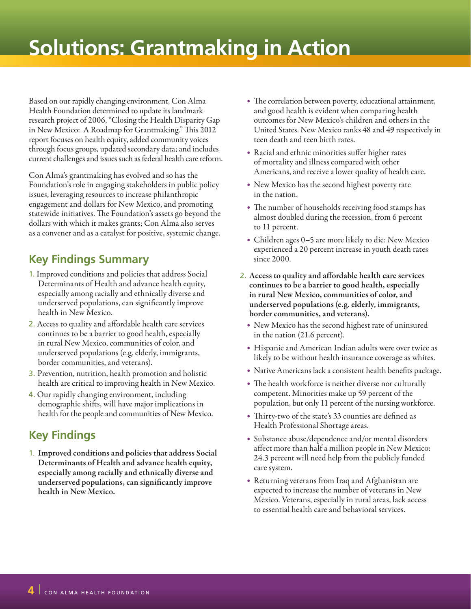# **Solutions: Grantmaking in Action**

Based on our rapidly changing environment, Con Alma Health Foundation determined to update its landmark research project of 2006, "Closing the Health Disparity Gap in New Mexico: A Roadmap for Grantmaking." This 2012 report focuses on health equity, added community voices through focus groups, updated secondary data; and includes current challenges and issues such as federal health care reform.

Con Alma's grantmaking has evolved and so has the Foundation's role in engaging stakeholders in public policy issues, leveraging resources to increase philanthropic engagement and dollars for New Mexico, and promoting statewide initiatives. The Foundation's assets go beyond the dollars with which it makes grants; Con Alma also serves as a convener and as a catalyst for positive, systemic change.

## **Key Findings Summary**

- 1. Improved conditions and policies that address Social Determinants of Health and advance health equity, especially among racially and ethnically diverse and underserved populations, can significantly improve health in New Mexico.
- 2. Access to quality and affordable health care services continues to be a barrier to good health, especially in rural New Mexico, communities of color, and underserved populations (e.g. elderly, immigrants, border communities, and veterans).
- 3. Prevention, nutrition, health promotion and holistic health are critical to improving health in New Mexico.
- 4. Our rapidly changing environment, including demographic shifts, will have major implications in health for the people and communities of New Mexico.

## **Key Findings**

1. Improved conditions and policies that address Social Determinants of Health and advance health equity, especially among racially and ethnically diverse and underserved populations, can significantly improve health in New Mexico.

- The correlation between poverty, educational attainment, and good health is evident when comparing health outcomes for New Mexico's children and others in the United States. New Mexico ranks 48 and 49 respectively in teen death and teen birth rates.
- Racial and ethnic minorities suffer higher rates of mortality and illness compared with other Americans, and receive a lower quality of health care.
- New Mexico has the second highest poverty rate in the nation.
- The number of households receiving food stamps has almost doubled during the recession, from 6 percent to 11 percent.
- Children ages 0–5 are more likely to die: New Mexico experienced a 20 percent increase in youth death rates since 2000.
- 2. Access to quality and affordable health care services continues to be a barrier to good health, especially in rural New Mexico, communities of color, and underserved populations (e.g. elderly, immigrants, border communities, and veterans).
	- New Mexico has the second highest rate of uninsured in the nation (21.6 percent).
	- Hispanic and American Indian adults were over twice as likely to be without health insurance coverage as whites.
	- Native Americans lack a consistent health benefits package.
	- The health workforce is neither diverse nor culturally competent. Minorities make up 59 percent of the population, but only 11 percent of the nursing workforce.
	- Thirty-two of the state's 33 counties are defined as Health Professional Shortage areas.
	- Substance abuse/dependence and/or mental disorders affect more than half a million people in New Mexico: 24.3 percent will need help from the publicly funded care system.
	- Returning veterans from Iraq and Afghanistan are expected to increase the number of veterans in New Mexico. Veterans, especially in rural areas, lack access to essential health care and behavioral services.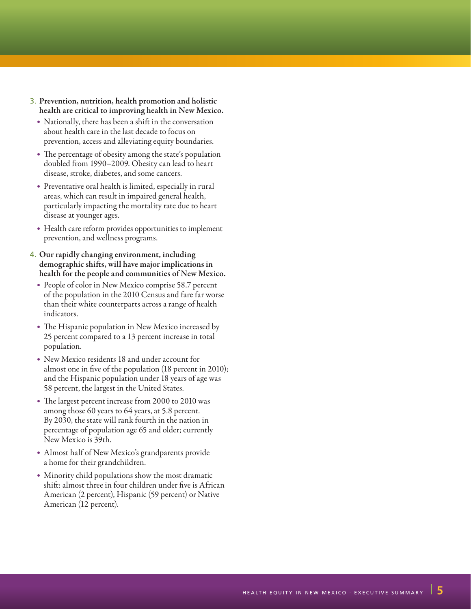- 3. Prevention, nutrition, health promotion and holistic health are critical to improving health in New Mexico.
	- Nationally, there has been a shift in the conversation about health care in the last decade to focus on prevention, access and alleviating equity boundaries.
	- The percentage of obesity among the state's population doubled from 1990–2009. Obesity can lead to heart disease, stroke, diabetes, and some cancers.
	- Preventative oral health is limited, especially in rural areas, which can result in impaired general health, particularly impacting the mortality rate due to heart disease at younger ages.
	- Health care reform provides opportunities to implement prevention, and wellness programs.
- 4. Our rapidly changing environment, including demographic shifts, will have major implications in health for the people and communities of New Mexico.
	- People of color in New Mexico comprise 58.7 percent of the population in the 2010 Census and fare far worse than their white counterparts across a range of health indicators.
	- The Hispanic population in New Mexico increased by 25 percent compared to a 13 percent increase in total population.
	- New Mexico residents 18 and under account for almost one in five of the population (18 percent in 2010); and the Hispanic population under 18 years of age was 58 percent, the largest in the United States.
	- The largest percent increase from 2000 to 2010 was among those 60 years to 64 years, at 5.8 percent. By 2030, the state will rank fourth in the nation in percentage of population age 65 and older; currently New Mexico is 39th.
	- Almost half of New Mexico's grandparents provide a home for their grandchildren.
	- Minority child populations show the most dramatic shift: almost three in four children under five is African American (2 percent), Hispanic (59 percent) or Native American (12 percent).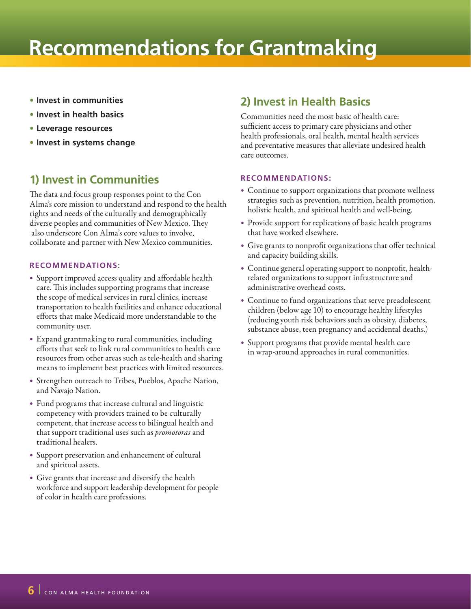# **Recommendations for Grantmaking**

- **Invest in communities**
- **Invest in health basics**
- **Leverage resources**
- **Invest in systems change**

## **1) Invest in Communities**

The data and focus group responses point to the Con Alma's core mission to understand and respond to the health rights and needs of the culturally and demographically diverse peoples and communities of New Mexico. They also underscore Con Alma's core values to involve, collaborate and partner with New Mexico communities.

#### **RECOMMENDATIONS:**

- • Support improved access quality and affordable health care. This includes supporting programs that increase the scope of medical services in rural clinics, increase transportation to health facilities and enhance educational efforts that make Medicaid more understandable to the community user.
- • Expand grantmaking to rural communities, including efforts that seek to link rural communities to health care resources from other areas such as tele-health and sharing means to implement best practices with limited resources.
- Strengthen outreach to Tribes, Pueblos, Apache Nation, and Navajo Nation.
- • Fund programs that increase cultural and linguistic competency with providers trained to be culturally competent, that increase access to bilingual health and that support traditional uses such as *promotoras* and traditional healers.
- • Support preservation and enhancement of cultural and spiritual assets.
- • Give grants that increase and diversify the health workforce and support leadership development for people of color in health care professions.

### **2) Invest in Health Basics**

Communities need the most basic of health care: sufficient access to primary care physicians and other health professionals, oral health, mental health services and preventative measures that alleviate undesired health care outcomes.

#### **RECOMMENDATIONS:**

- Continue to support organizations that promote wellness strategies such as prevention, nutrition, health promotion, holistic health, and spiritual health and well-being.
- Provide support for replications of basic health programs that have worked elsewhere.
- Give grants to nonprofit organizations that offer technical and capacity building skills.
- Continue general operating support to nonprofit, healthrelated organizations to support infrastructure and administrative overhead costs.
- • Continue to fund organizations that serve preadolescent children (below age 10) to encourage healthy lifestyles (reducing youth risk behaviors such as obesity, diabetes, substance abuse, teen pregnancy and accidental deaths.)
- Support programs that provide mental health care in wrap-around approaches in rural communities.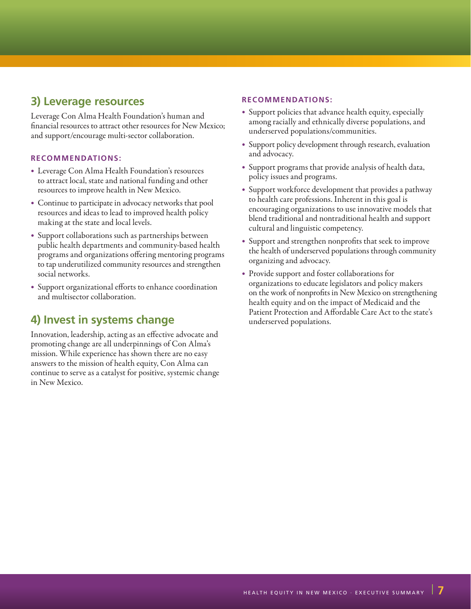### **3) Leverage resources**

Leverage Con Alma Health Foundation's human and financial resources to attract other resources for New Mexico; and support/encourage multi-sector collaboration.

### **RECOMMENDATIONS:**

- Leverage Con Alma Health Foundation's resources to attract local, state and national funding and other resources to improve health in New Mexico.
- Continue to participate in advocacy networks that pool resources and ideas to lead to improved health policy making at the state and local levels.
- Support collaborations such as partnerships between public health departments and community-based health programs and organizations offering mentoring programs to tap underutilized community resources and strengthen social networks.
- • Support organizational efforts to enhance coordination and multisector collaboration.

## **4) Invest in systems change**

Innovation, leadership, acting as an effective advocate and promoting change are all underpinnings of Con Alma's mission. While experience has shown there are no easy answers to the mission of health equity, Con Alma can continue to serve as a catalyst for positive, systemic change in New Mexico.

#### **RECOMMENDATIONS:**

- Support policies that advance health equity, especially among racially and ethnically diverse populations, and underserved populations/communities.
- Support policy development through research, evaluation and advocacy.
- Support programs that provide analysis of health data, policy issues and programs.
- Support workforce development that provides a pathway to health care professions. Inherent in this goal is encouraging organizations to use innovative models that blend traditional and nontraditional health and support cultural and linguistic competency.
- Support and strengthen nonprofits that seek to improve the health of underserved populations through community organizing and advocacy.
- Provide support and foster collaborations for organizations to educate legislators and policy makers on the work of nonprofits in New Mexico on strengthening health equity and on the impact of Medicaid and the Patient Protection and Affordable Care Act to the state's underserved populations.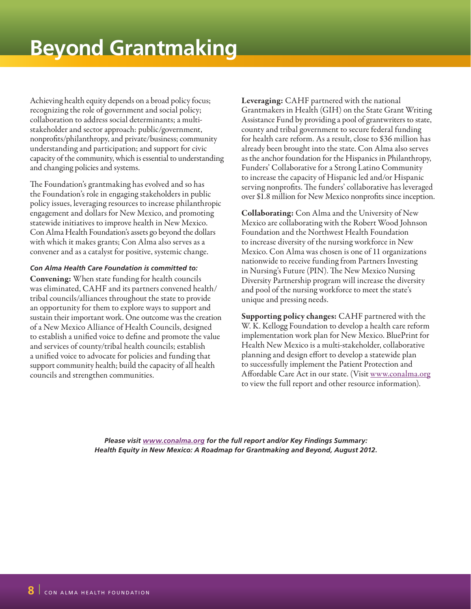Achieving health equity depends on a broad policy focus; recognizing the role of government and social policy; collaboration to address social determinants; a multistakeholder and sector approach: public/government, nonprofits/philanthropy, and private/business; community understanding and participation; and support for civic capacity of the community, which is essential to understanding and changing policies and systems.

The Foundation's grantmaking has evolved and so has the Foundation's role in engaging stakeholders in public policy issues, leveraging resources to increase philanthropic engagement and dollars for New Mexico, and promoting statewide initiatives to improve health in New Mexico. Con Alma Health Foundation's assets go beyond the dollars with which it makes grants; Con Alma also serves as a convener and as a catalyst for positive, systemic change.

#### *Con Alma Health Care Foundation is committed to:*

Convening: When state funding for health councils was eliminated, CAHF and its partners convened health/ tribal councils/alliances throughout the state to provide an opportunity for them to explore ways to support and sustain their important work. One outcome was the creation of a New Mexico Alliance of Health Councils, designed to establish a unified voice to define and promote the value and services of county/tribal health councils; establish a unified voice to advocate for policies and funding that support community health; build the capacity of all health councils and strengthen communities.

Leveraging: CAHF partnered with the national Grantmakers in Health (GIH) on the State Grant Writing Assistance Fund by providing a pool of grantwriters to state, county and tribal government to secure federal funding for health care reform. As a result, close to \$36 million has already been brought into the state. Con Alma also serves as the anchor foundation for the Hispanics in Philanthropy, Funders' Collaborative for a Strong Latino Community to increase the capacity of Hispanic led and/or Hispanic serving nonprofits. The funders' collaborative has leveraged over \$1.8 million for New Mexico nonprofits since inception.

Collaborating: Con Alma and the University of New Mexico are collaborating with the Robert Wood Johnson Foundation and the Northwest Health Foundation to increase diversity of the nursing workforce in New Mexico. Con Alma was chosen is one of 11 organizations nationwide to receive funding from Partners Investing in Nursing's Future (PIN). The New Mexico Nursing Diversity Partnership program will increase the diversity and pool of the nursing workforce to meet the state's unique and pressing needs.

Supporting policy changes: CAHF partnered with the W. K. Kellogg Foundation to develop a health care reform implementation work plan for New Mexico. BluePrint for Health New Mexico is a multi-stakeholder, collaborative planning and design effort to develop a statewide plan to successfully implement the Patient Protection and Affordable Care Act in our state. (Visit www.conalma.org to view the full report and other resource information).

*Please visit www.conalma.org for the full report and/or Key Findings Summary: Health Equity in New Mexico: A Roadmap for Grantmaking and Beyond, August 2012.*